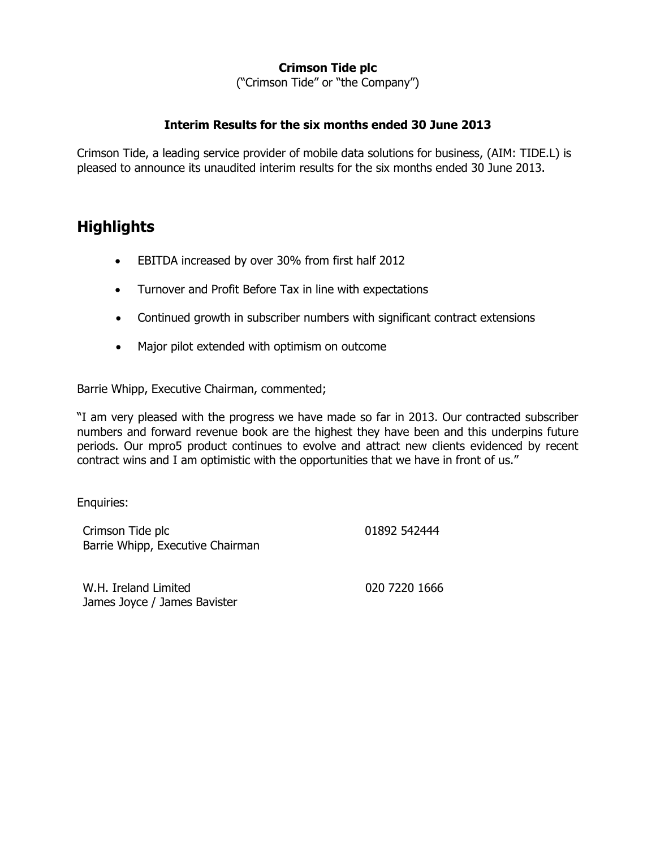# **Crimson Tide plc**

("Crimson Tide" or "the Company")

### **Interim Results for the six months ended 30 June 2013**

Crimson Tide, a leading service provider of mobile data solutions for business, (AIM: TIDE.L) is pleased to announce its unaudited interim results for the six months ended 30 June 2013.

# **Highlights**

- EBITDA increased by over 30% from first half 2012
- Turnover and Profit Before Tax in line with expectations
- Continued growth in subscriber numbers with significant contract extensions
- Major pilot extended with optimism on outcome

Barrie Whipp, Executive Chairman, commented;

"I am very pleased with the progress we have made so far in 2013. Our contracted subscriber numbers and forward revenue book are the highest they have been and this underpins future periods. Our mpro5 product continues to evolve and attract new clients evidenced by recent contract wins and I am optimistic with the opportunities that we have in front of us."

Enquiries:

Crimson Tide plc Barrie Whipp, Executive Chairman 01892 542444

W.H. Ireland Limited James Joyce / James Bavister 020 7220 1666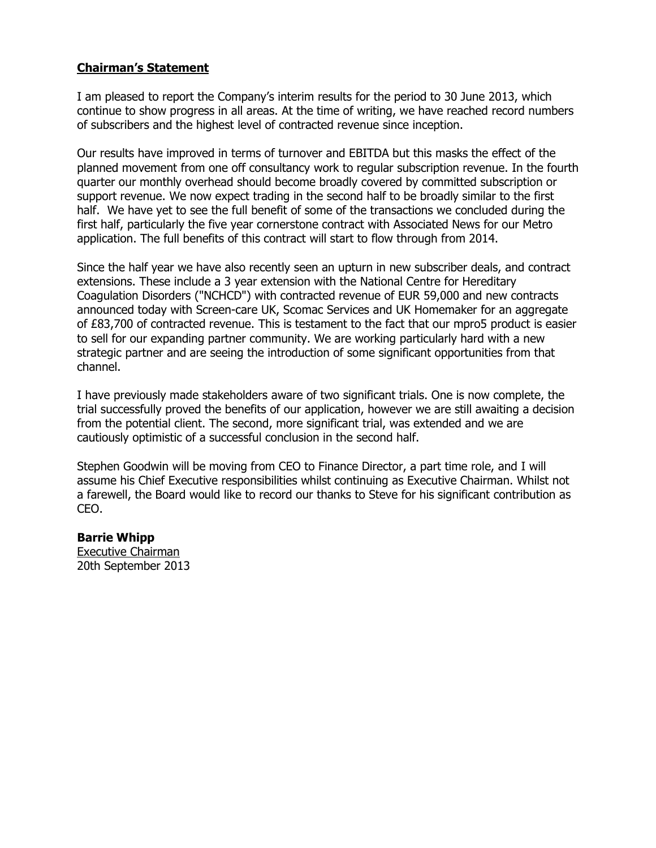## **Chairman's Statement**

I am pleased to report the Company's interim results for the period to 30 June 2013, which continue to show progress in all areas. At the time of writing, we have reached record numbers of subscribers and the highest level of contracted revenue since inception.

Our results have improved in terms of turnover and EBITDA but this masks the effect of the planned movement from one off consultancy work to regular subscription revenue. In the fourth quarter our monthly overhead should become broadly covered by committed subscription or support revenue. We now expect trading in the second half to be broadly similar to the first half. We have yet to see the full benefit of some of the transactions we concluded during the first half, particularly the five year cornerstone contract with Associated News for our Metro application. The full benefits of this contract will start to flow through from 2014.

Since the half year we have also recently seen an upturn in new subscriber deals, and contract extensions. These include a 3 year extension with the National Centre for Hereditary Coagulation Disorders ("NCHCD") with contracted revenue of EUR 59,000 and new contracts announced today with Screen-care UK, Scomac Services and UK Homemaker for an aggregate of £83,700 of contracted revenue. This is testament to the fact that our mpro5 product is easier to sell for our expanding partner community. We are working particularly hard with a new strategic partner and are seeing the introduction of some significant opportunities from that channel.

I have previously made stakeholders aware of two significant trials. One is now complete, the trial successfully proved the benefits of our application, however we are still awaiting a decision from the potential client. The second, more significant trial, was extended and we are cautiously optimistic of a successful conclusion in the second half.

Stephen Goodwin will be moving from CEO to Finance Director, a part time role, and I will assume his Chief Executive responsibilities whilst continuing as Executive Chairman. Whilst not a farewell, the Board would like to record our thanks to Steve for his significant contribution as CEO.

#### **Barrie Whipp**

Executive Chairman 20th September 2013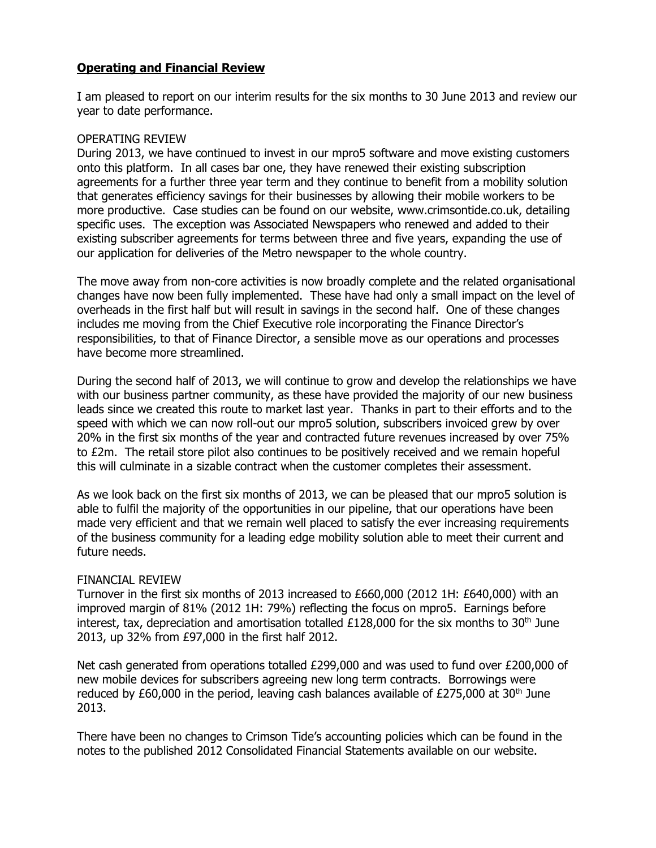## **Operating and Financial Review**

I am pleased to report on our interim results for the six months to 30 June 2013 and review our year to date performance.

#### OPERATING REVIEW

During 2013, we have continued to invest in our mpro5 software and move existing customers onto this platform. In all cases bar one, they have renewed their existing subscription agreements for a further three year term and they continue to benefit from a mobility solution that generates efficiency savings for their businesses by allowing their mobile workers to be more productive. Case studies can be found on our website, www.crimsontide.co.uk, detailing specific uses. The exception was Associated Newspapers who renewed and added to their existing subscriber agreements for terms between three and five years, expanding the use of our application for deliveries of the Metro newspaper to the whole country.

The move away from non-core activities is now broadly complete and the related organisational changes have now been fully implemented. These have had only a small impact on the level of overheads in the first half but will result in savings in the second half. One of these changes includes me moving from the Chief Executive role incorporating the Finance Director's responsibilities, to that of Finance Director, a sensible move as our operations and processes have become more streamlined.

During the second half of 2013, we will continue to grow and develop the relationships we have with our business partner community, as these have provided the majority of our new business leads since we created this route to market last year. Thanks in part to their efforts and to the speed with which we can now roll-out our mpro5 solution, subscribers invoiced grew by over 20% in the first six months of the year and contracted future revenues increased by over 75% to £2m. The retail store pilot also continues to be positively received and we remain hopeful this will culminate in a sizable contract when the customer completes their assessment.

As we look back on the first six months of 2013, we can be pleased that our mpro5 solution is able to fulfil the majority of the opportunities in our pipeline, that our operations have been made very efficient and that we remain well placed to satisfy the ever increasing requirements of the business community for a leading edge mobility solution able to meet their current and future needs.

#### FINANCIAL REVIEW

Turnover in the first six months of 2013 increased to £660,000 (2012 1H: £640,000) with an improved margin of 81% (2012 1H: 79%) reflecting the focus on mpro5. Earnings before interest, tax, depreciation and amortisation totalled £128,000 for the six months to 30<sup>th</sup> June 2013, up 32% from £97,000 in the first half 2012.

Net cash generated from operations totalled £299,000 and was used to fund over £200,000 of new mobile devices for subscribers agreeing new long term contracts. Borrowings were reduced by £60,000 in the period, leaving cash balances available of £275,000 at  $30<sup>th</sup>$  June 2013.

There have been no changes to Crimson Tide's accounting policies which can be found in the notes to the published 2012 Consolidated Financial Statements available on our website.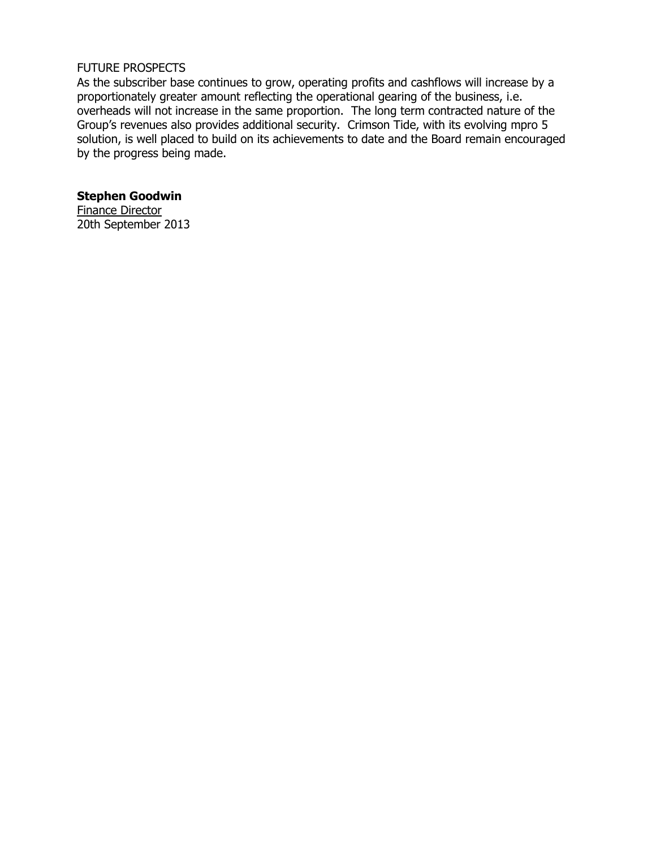#### FUTURE PROSPECTS

As the subscriber base continues to grow, operating profits and cashflows will increase by a proportionately greater amount reflecting the operational gearing of the business, i.e. overheads will not increase in the same proportion. The long term contracted nature of the Group's revenues also provides additional security. Crimson Tide, with its evolving mpro 5 solution, is well placed to build on its achievements to date and the Board remain encouraged by the progress being made.

**Stephen Goodwin** Finance Director 20th September 2013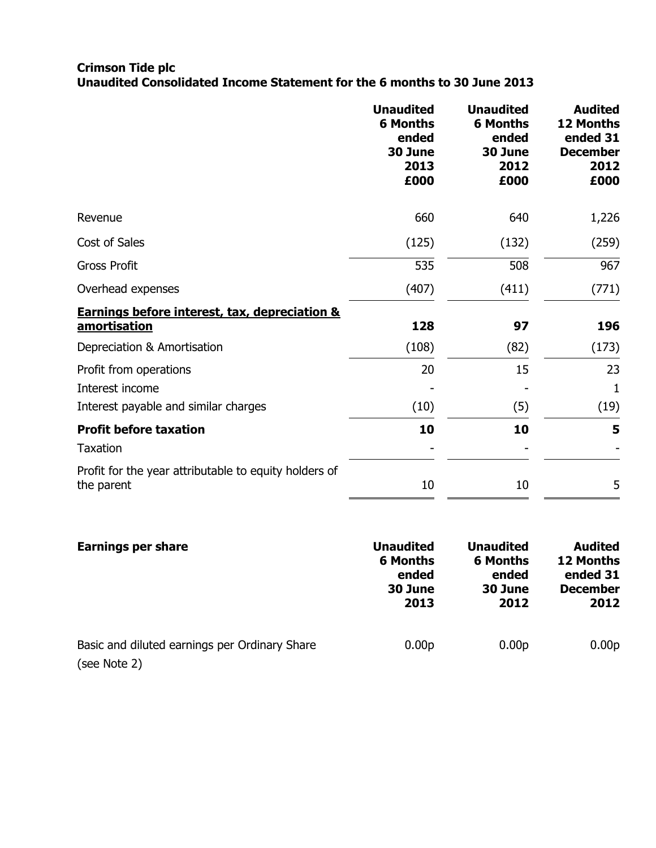#### **Crimson Tide plc Unaudited Consolidated Income Statement for the 6 months to 30 June 2013**

|                                                                                   | <b>Unaudited</b><br><b>6 Months</b><br>ended<br>30 June<br>2013<br>£000 | <b>Unaudited</b><br><b>6 Months</b><br>ended<br>30 June<br>2012<br>£000 | <b>Audited</b><br>12 Months<br>ended 31<br><b>December</b><br>2012<br>£000 |
|-----------------------------------------------------------------------------------|-------------------------------------------------------------------------|-------------------------------------------------------------------------|----------------------------------------------------------------------------|
| Revenue                                                                           | 660                                                                     | 640                                                                     | 1,226                                                                      |
| Cost of Sales                                                                     | (125)                                                                   | (132)                                                                   | (259)                                                                      |
| <b>Gross Profit</b>                                                               | 535                                                                     | 508                                                                     | 967                                                                        |
| Overhead expenses                                                                 | (407)                                                                   | (411)                                                                   | (771)                                                                      |
| <b>Earnings before interest, tax, depreciation &amp;</b><br>amortisation          | 128                                                                     | 97                                                                      | 196                                                                        |
| Depreciation & Amortisation                                                       | (108)                                                                   | (82)                                                                    | (173)                                                                      |
| Profit from operations<br>Interest income<br>Interest payable and similar charges | 20<br>(10)                                                              | 15<br>(5)                                                               | 23<br>1<br>(19)                                                            |
| <b>Profit before taxation</b>                                                     | 10                                                                      | 10                                                                      | 5                                                                          |
| <b>Taxation</b><br>Profit for the year attributable to equity holders of          |                                                                         |                                                                         |                                                                            |
| the parent                                                                        | 10                                                                      | 10                                                                      | 5                                                                          |

| <b>Earnings per share</b>                                     | <b>Unaudited</b>  | <b>Unaudited</b>  | <b>Audited</b>    |
|---------------------------------------------------------------|-------------------|-------------------|-------------------|
|                                                               | <b>6 Months</b>   | <b>6 Months</b>   | 12 Months         |
|                                                               | ended             | ended             | ended 31          |
|                                                               | 30 June           | 30 June           | <b>December</b>   |
|                                                               | 2013              | 2012              | 2012              |
| Basic and diluted earnings per Ordinary Share<br>(see Note 2) | 0.00 <sub>p</sub> | 0.00 <sub>p</sub> | 0.00 <sub>p</sub> |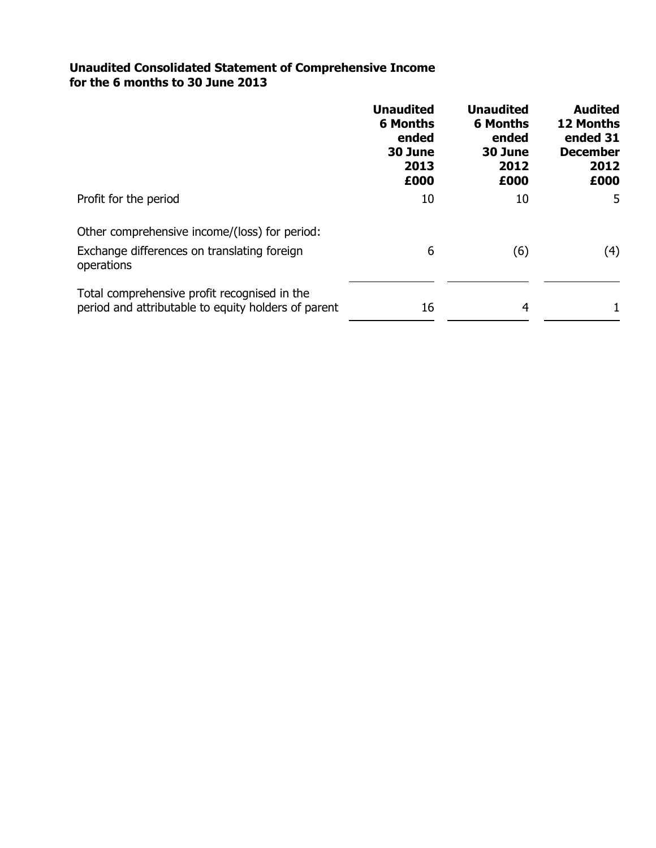### **Unaudited Consolidated Statement of Comprehensive Income for the 6 months to 30 June 2013**

|                                                                                                     | <b>Unaudited</b><br><b>6 Months</b><br>ended<br>30 June<br>2013<br>£000 | <b>Unaudited</b><br><b>6 Months</b><br>ended<br>30 June<br>2012<br>£000 | <b>Audited</b><br><b>12 Months</b><br>ended 31<br><b>December</b><br>2012<br>£000 |
|-----------------------------------------------------------------------------------------------------|-------------------------------------------------------------------------|-------------------------------------------------------------------------|-----------------------------------------------------------------------------------|
| Profit for the period                                                                               | 10                                                                      | 10                                                                      | 5                                                                                 |
| Other comprehensive income/(loss) for period:                                                       |                                                                         |                                                                         |                                                                                   |
| Exchange differences on translating foreign<br>operations                                           | 6                                                                       | (6)                                                                     | (4)                                                                               |
| Total comprehensive profit recognised in the<br>period and attributable to equity holders of parent | 16                                                                      | 4                                                                       |                                                                                   |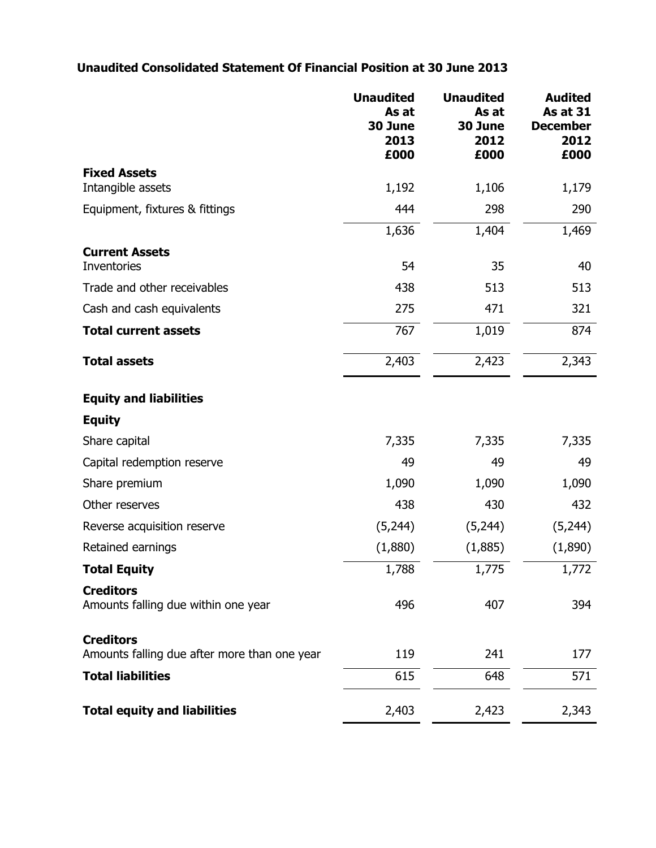# **Unaudited Consolidated Statement Of Financial Position at 30 June 2013**

|                                                                  | <b>Unaudited</b><br>As at<br>30 June<br>2013<br>£000 | <b>Unaudited</b><br>As at<br>30 June<br>2012<br>£000 | <b>Audited</b><br><b>As at 31</b><br><b>December</b><br>2012<br>£000 |
|------------------------------------------------------------------|------------------------------------------------------|------------------------------------------------------|----------------------------------------------------------------------|
| <b>Fixed Assets</b>                                              |                                                      |                                                      |                                                                      |
| Intangible assets                                                | 1,192                                                | 1,106                                                | 1,179                                                                |
| Equipment, fixtures & fittings                                   | 444                                                  | 298                                                  | 290                                                                  |
|                                                                  | 1,636                                                | 1,404                                                | 1,469                                                                |
| <b>Current Assets</b><br>Inventories                             | 54                                                   | 35                                                   | 40                                                                   |
| Trade and other receivables                                      | 438                                                  | 513                                                  | 513                                                                  |
| Cash and cash equivalents                                        | 275                                                  | 471                                                  | 321                                                                  |
| <b>Total current assets</b>                                      | 767                                                  | 1,019                                                | 874                                                                  |
| <b>Total assets</b>                                              | 2,403                                                | 2,423                                                | 2,343                                                                |
| <b>Equity and liabilities</b>                                    |                                                      |                                                      |                                                                      |
| <b>Equity</b>                                                    |                                                      |                                                      |                                                                      |
| Share capital                                                    | 7,335                                                | 7,335                                                | 7,335                                                                |
| Capital redemption reserve                                       | 49                                                   | 49                                                   | 49                                                                   |
| Share premium                                                    | 1,090                                                | 1,090                                                | 1,090                                                                |
| Other reserves                                                   | 438                                                  | 430                                                  | 432                                                                  |
| Reverse acquisition reserve                                      | (5,244)                                              | (5,244)                                              | (5,244)                                                              |
| Retained earnings                                                | (1,880)                                              | (1,885)                                              | (1,890)                                                              |
| <b>Total Equity</b>                                              | 1,788                                                | 1,775                                                | 1,772                                                                |
| <b>Creditors</b><br>Amounts falling due within one year          | 496                                                  | 407                                                  | 394                                                                  |
| <b>Creditors</b><br>Amounts falling due after more than one year | 119                                                  | 241                                                  | 177                                                                  |
| <b>Total liabilities</b>                                         | 615                                                  | 648                                                  | 571                                                                  |
| <b>Total equity and liabilities</b>                              | 2,403                                                | 2,423                                                | 2,343                                                                |
|                                                                  |                                                      |                                                      |                                                                      |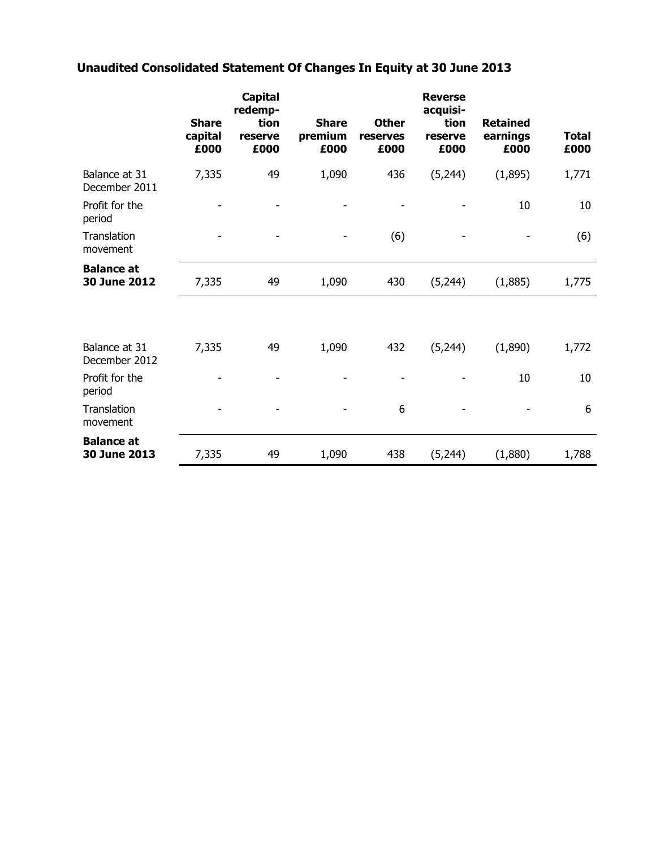# **Unaudited Consolidated Statement Of Changes In Equity at 30 June 2013**

|                                   | <b>Share</b><br>capital<br>£000 | <b>Capital</b><br>redemp-<br>tion<br>reserve<br>£000 | <b>Share</b><br>premium<br>£000 | <b>Other</b><br>reserves<br>£000 | <b>Reverse</b><br>acquisi-<br>tion<br>reserve<br>£000 | <b>Retained</b><br>earnings<br>£000 | <b>Total</b><br>£000 |
|-----------------------------------|---------------------------------|------------------------------------------------------|---------------------------------|----------------------------------|-------------------------------------------------------|-------------------------------------|----------------------|
| Balance at 31<br>December 2011    | 7,335                           | 49                                                   | 1,090                           | 436                              | (5,244)                                               | (1,895)                             | 1,771                |
| Profit for the<br>period          |                                 |                                                      |                                 |                                  |                                                       | 10                                  | 10                   |
| Translation<br>movement           |                                 |                                                      |                                 | (6)                              |                                                       |                                     | (6)                  |
| <b>Balance at</b><br>30 June 2012 | 7,335                           | 49                                                   | 1,090                           | 430                              | (5,244)                                               | (1,885)                             | 1,775                |
| Balance at 31<br>December 2012    | 7,335                           | 49                                                   | 1,090                           | 432                              | (5,244)                                               | (1,890)                             | 1,772                |
| Profit for the<br>period          |                                 |                                                      |                                 |                                  |                                                       | 10                                  | 10                   |
| Translation<br>movement           |                                 |                                                      |                                 | 6                                |                                                       |                                     | 6                    |
| <b>Balance at</b><br>30 June 2013 | 7,335                           | 49                                                   | 1,090                           | 438                              | (5,244)                                               | (1,880)                             | 1,788                |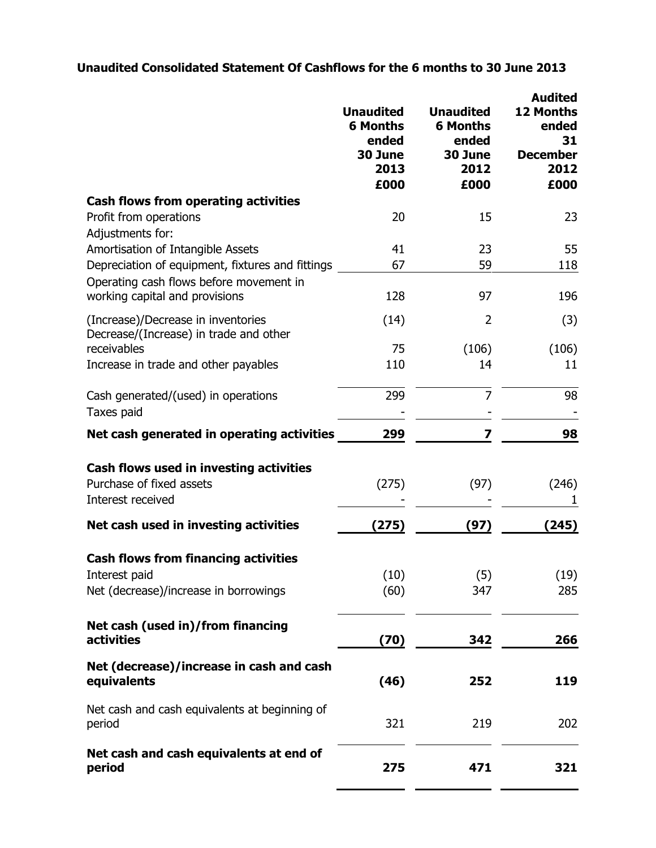# **Unaudited Consolidated Statement Of Cashflows for the 6 months to 30 June 2013**

|                                                                              | <b>Unaudited</b><br><b>6 Months</b><br>ended<br>30 June<br>2013<br>£000 | <b>Unaudited</b><br><b>6 Months</b><br>ended<br>30 June<br>2012<br>£000 | <b>Audited</b><br><b>12 Months</b><br>ended<br>31<br><b>December</b><br>2012<br>£000 |
|------------------------------------------------------------------------------|-------------------------------------------------------------------------|-------------------------------------------------------------------------|--------------------------------------------------------------------------------------|
| <b>Cash flows from operating activities</b>                                  |                                                                         |                                                                         |                                                                                      |
| Profit from operations<br>Adjustments for:                                   | 20                                                                      | 15                                                                      | 23                                                                                   |
| Amortisation of Intangible Assets                                            | 41                                                                      | 23                                                                      | 55                                                                                   |
| Depreciation of equipment, fixtures and fittings                             | 67                                                                      | 59                                                                      | 118                                                                                  |
| Operating cash flows before movement in<br>working capital and provisions    | 128                                                                     | 97                                                                      | 196                                                                                  |
| (Increase)/Decrease in inventories<br>Decrease/(Increase) in trade and other | (14)                                                                    | 2                                                                       | (3)                                                                                  |
| receivables                                                                  | 75                                                                      | (106)                                                                   | (106)                                                                                |
| Increase in trade and other payables                                         | 110                                                                     | 14                                                                      | 11                                                                                   |
| Cash generated/(used) in operations                                          | 299                                                                     | 7                                                                       | 98                                                                                   |
| Taxes paid                                                                   |                                                                         |                                                                         |                                                                                      |
| Net cash generated in operating activities                                   | 299                                                                     | 7                                                                       | 98                                                                                   |
| Cash flows used in investing activities<br>Purchase of fixed assets          | (275)                                                                   | (97)                                                                    | (246)                                                                                |
| Interest received                                                            |                                                                         |                                                                         | 1                                                                                    |
| Net cash used in investing activities                                        | (275)                                                                   | (97)                                                                    | (245)                                                                                |
| <b>Cash flows from financing activities</b>                                  |                                                                         |                                                                         |                                                                                      |
| Interest paid                                                                | (10)                                                                    | (5)                                                                     | (19)                                                                                 |
| Net (decrease)/increase in borrowings                                        | (60)                                                                    | 347                                                                     | 285                                                                                  |
| Net cash (used in)/from financing<br><b>activities</b>                       | (70)                                                                    | 342                                                                     | 266                                                                                  |
|                                                                              |                                                                         |                                                                         |                                                                                      |
| Net (decrease)/increase in cash and cash<br>equivalents                      | (46)                                                                    | 252                                                                     | 119                                                                                  |
| Net cash and cash equivalents at beginning of<br>period                      | 321                                                                     | 219                                                                     | 202                                                                                  |
| Net cash and cash equivalents at end of<br>period                            | 275                                                                     | 471                                                                     | 321                                                                                  |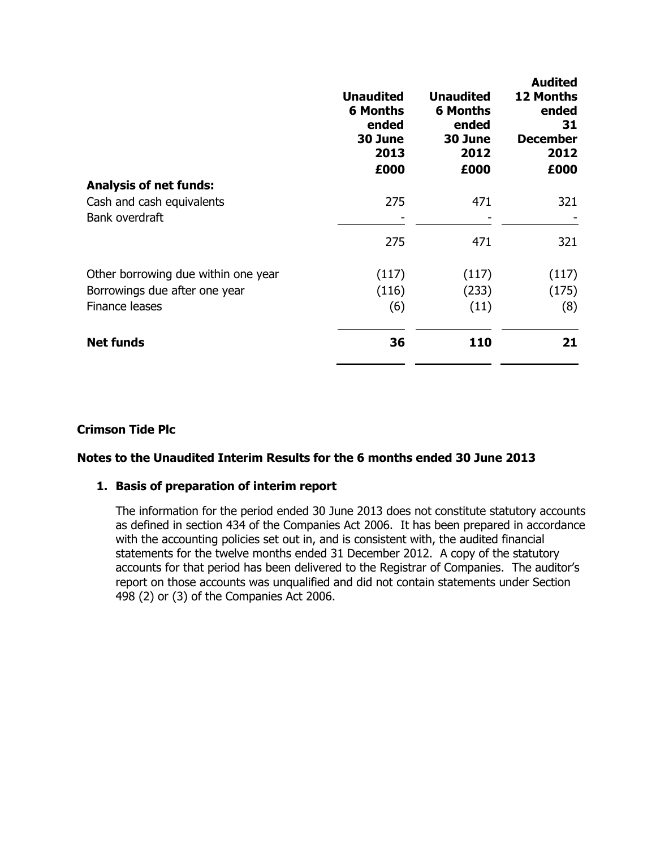|                                     | <b>Unaudited</b><br><b>6 Months</b><br>ended<br>30 June<br>2013<br>£000 | <b>Unaudited</b><br><b>6 Months</b><br>ended<br>30 June<br>2012<br>£000 | <b>Audited</b><br><b>12 Months</b><br>ended<br>31<br><b>December</b><br>2012<br>£000 |
|-------------------------------------|-------------------------------------------------------------------------|-------------------------------------------------------------------------|--------------------------------------------------------------------------------------|
| <b>Analysis of net funds:</b>       |                                                                         |                                                                         |                                                                                      |
| Cash and cash equivalents           | 275                                                                     | 471                                                                     | 321                                                                                  |
| Bank overdraft                      |                                                                         |                                                                         |                                                                                      |
|                                     | 275                                                                     | 471                                                                     | 321                                                                                  |
| Other borrowing due within one year | (117)                                                                   | (117)                                                                   | (117)                                                                                |
| Borrowings due after one year       | (116)                                                                   | (233)                                                                   | (175)                                                                                |
| <b>Finance leases</b>               | (6)                                                                     | (11)                                                                    | (8)                                                                                  |
| <b>Net funds</b>                    | 36                                                                      | 110                                                                     | 21                                                                                   |

## **Crimson Tide Plc**

# **Notes to the Unaudited Interim Results for the 6 months ended 30 June 2013**

#### **1. Basis of preparation of interim report**

The information for the period ended 30 June 2013 does not constitute statutory accounts as defined in section 434 of the Companies Act 2006. It has been prepared in accordance with the accounting policies set out in, and is consistent with, the audited financial statements for the twelve months ended 31 December 2012. A copy of the statutory accounts for that period has been delivered to the Registrar of Companies. The auditor's report on those accounts was unqualified and did not contain statements under Section 498 (2) or (3) of the Companies Act 2006.